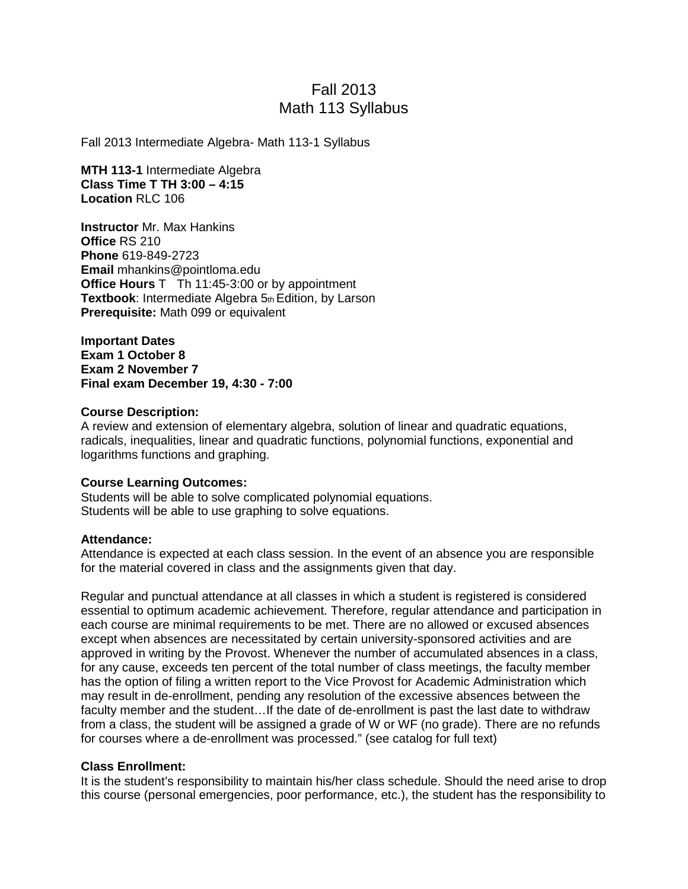# Fall 2013 Math 113 Syllabus

Fall 2013 Intermediate Algebra- Math 113-1 Syllabus

**MTH 113-1** Intermediate Algebra **Class Time T TH 3:00 – 4:15 Location** RLC 106

**Instructor** Mr. Max Hankins **Office** RS 210 **Phone** 619-849-2723 **Email** mhankins@pointloma.edu **Office Hours** T Th 11:45-3:00 or by appointment **Textbook:** Intermediate Algebra 5th Edition, by Larson **Prerequisite:** Math 099 or equivalent

**Important Dates Exam 1 October 8 Exam 2 November 7 Final exam December 19, 4:30 - 7:00**

#### **Course Description:**

A review and extension of elementary algebra, solution of linear and quadratic equations, radicals, inequalities, linear and quadratic functions, polynomial functions, exponential and logarithms functions and graphing.

#### **Course Learning Outcomes:**

Students will be able to solve complicated polynomial equations. Students will be able to use graphing to solve equations.

#### **Attendance:**

Attendance is expected at each class session. In the event of an absence you are responsible for the material covered in class and the assignments given that day.

Regular and punctual attendance at all classes in which a student is registered is considered essential to optimum academic achievement. Therefore, regular attendance and participation in each course are minimal requirements to be met. There are no allowed or excused absences except when absences are necessitated by certain university-sponsored activities and are approved in writing by the Provost. Whenever the number of accumulated absences in a class, for any cause, exceeds ten percent of the total number of class meetings, the faculty member has the option of filing a written report to the Vice Provost for Academic Administration which may result in de-enrollment, pending any resolution of the excessive absences between the faculty member and the student…If the date of de-enrollment is past the last date to withdraw from a class, the student will be assigned a grade of W or WF (no grade). There are no refunds for courses where a de-enrollment was processed." (see catalog for full text)

#### **Class Enrollment:**

It is the student's responsibility to maintain his/her class schedule. Should the need arise to drop this course (personal emergencies, poor performance, etc.), the student has the responsibility to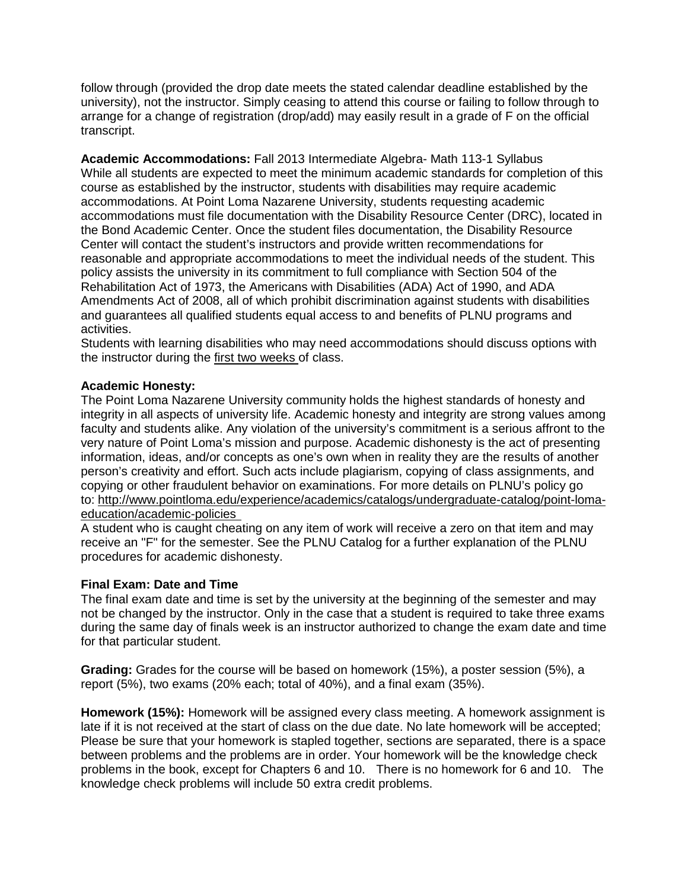follow through (provided the drop date meets the stated calendar deadline established by the university), not the instructor. Simply ceasing to attend this course or failing to follow through to arrange for a change of registration (drop/add) may easily result in a grade of F on the official transcript.

**Academic Accommodations:** Fall 2013 Intermediate Algebra- Math 113-1 Syllabus While all students are expected to meet the minimum academic standards for completion of this course as established by the instructor, students with disabilities may require academic accommodations. At Point Loma Nazarene University, students requesting academic accommodations must file documentation with the Disability Resource Center (DRC), located in the Bond Academic Center. Once the student files documentation, the Disability Resource Center will contact the student's instructors and provide written recommendations for reasonable and appropriate accommodations to meet the individual needs of the student. This policy assists the university in its commitment to full compliance with Section 504 of the Rehabilitation Act of 1973, the Americans with Disabilities (ADA) Act of 1990, and ADA Amendments Act of 2008, all of which prohibit discrimination against students with disabilities and guarantees all qualified students equal access to and benefits of PLNU programs and activities.

Students with learning disabilities who may need accommodations should discuss options with the instructor during the first two weeks of class.

### **Academic Honesty:**

The Point Loma Nazarene University community holds the highest standards of honesty and integrity in all aspects of university life. Academic honesty and integrity are strong values among faculty and students alike. Any violation of the university's commitment is a serious affront to the very nature of Point Loma's mission and purpose. Academic dishonesty is the act of presenting information, ideas, and/or concepts as one's own when in reality they are the results of another person's creativity and effort. Such acts include plagiarism, copying of class assignments, and copying or other fraudulent behavior on examinations. For more details on PLNU's policy go to: http://www.pointloma.edu/experience/academics/catalogs/undergraduate-catalog/point-lomaeducation/academic-policies

A student who is caught cheating on any item of work will receive a zero on that item and may receive an "F" for the semester. See the PLNU Catalog for a further explanation of the PLNU procedures for academic dishonesty.

#### **Final Exam: Date and Time**

The final exam date and time is set by the university at the beginning of the semester and may not be changed by the instructor. Only in the case that a student is required to take three exams during the same day of finals week is an instructor authorized to change the exam date and time for that particular student.

**Grading:** Grades for the course will be based on homework (15%), a poster session (5%), a report (5%), two exams (20% each; total of 40%), and a final exam (35%).

**Homework (15%):** Homework will be assigned every class meeting. A homework assignment is late if it is not received at the start of class on the due date. No late homework will be accepted; Please be sure that your homework is stapled together, sections are separated, there is a space between problems and the problems are in order. Your homework will be the knowledge check problems in the book, except for Chapters 6 and 10. There is no homework for 6 and 10. The knowledge check problems will include 50 extra credit problems.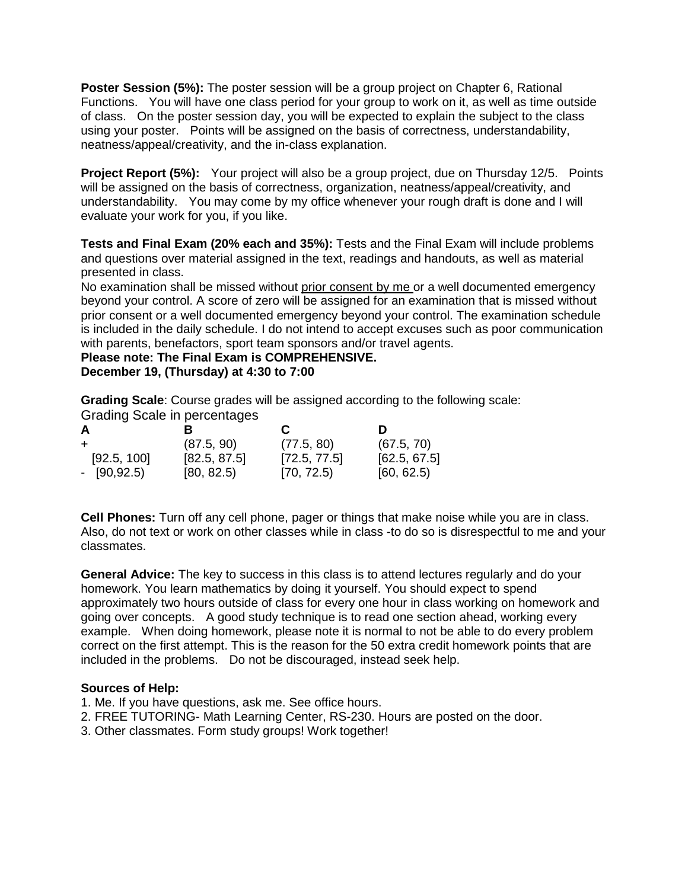**Poster Session (5%):** The poster session will be a group project on Chapter 6, Rational Functions. You will have one class period for your group to work on it, as well as time outside of class. On the poster session day, you will be expected to explain the subject to the class using your poster. Points will be assigned on the basis of correctness, understandability, neatness/appeal/creativity, and the in-class explanation.

**Project Report (5%):** Your project will also be a group project, due on Thursday 12/5. Points will be assigned on the basis of correctness, organization, neatness/appeal/creativity, and understandability. You may come by my office whenever your rough draft is done and I will evaluate your work for you, if you like.

**Tests and Final Exam (20% each and 35%):** Tests and the Final Exam will include problems and questions over material assigned in the text, readings and handouts, as well as material presented in class.

No examination shall be missed without prior consent by me or a well documented emergency beyond your control. A score of zero will be assigned for an examination that is missed without prior consent or a well documented emergency beyond your control. The examination schedule is included in the daily schedule. I do not intend to accept excuses such as poor communication with parents, benefactors, sport team sponsors and/or travel agents.

**Please note: The Final Exam is COMPREHENSIVE. December 19, (Thursday) at 4:30 to 7:00**

**Grading Scale**: Course grades will be assigned according to the following scale:

Grading Scale in percentages

| A             | R            | C            | Ð            |
|---------------|--------------|--------------|--------------|
|               | (87.5, 90)   | (77.5, 80)   | (67.5, 70)   |
| [92.5, 100]   | [82.5, 87.5] | [72.5, 77.5] | [62.5, 67.5] |
| $-$ [90,92.5) | [80, 82.5]   | [70, 72.5]   | [60, 62.5]   |

**Cell Phones:** Turn off any cell phone, pager or things that make noise while you are in class. Also, do not text or work on other classes while in class -to do so is disrespectful to me and your classmates.

**General Advice:** The key to success in this class is to attend lectures regularly and do your homework. You learn mathematics by doing it yourself. You should expect to spend approximately two hours outside of class for every one hour in class working on homework and going over concepts. A good study technique is to read one section ahead, working every example. When doing homework, please note it is normal to not be able to do every problem correct on the first attempt. This is the reason for the 50 extra credit homework points that are included in the problems. Do not be discouraged, instead seek help.

## **Sources of Help:**

- 1. Me. If you have questions, ask me. See office hours.
- 2. FREE TUTORING- Math Learning Center, RS-230. Hours are posted on the door.
- 3. Other classmates. Form study groups! Work together!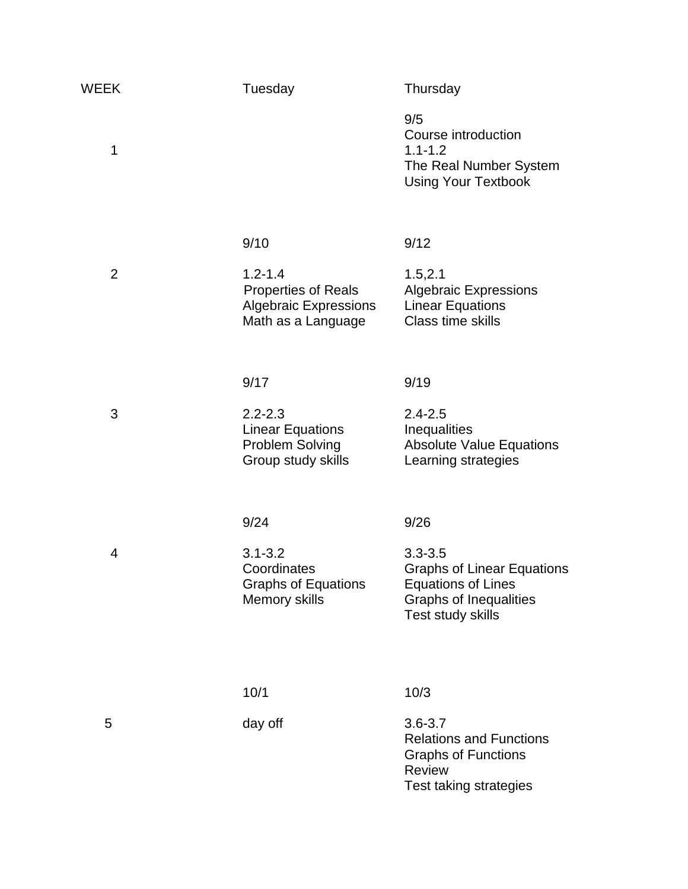| <b>WEEK</b>    | Tuesday                                                                                         | Thursday                                                                                                                            |
|----------------|-------------------------------------------------------------------------------------------------|-------------------------------------------------------------------------------------------------------------------------------------|
| 1              |                                                                                                 | 9/5<br>Course introduction<br>$1.1 - 1.2$<br>The Real Number System<br><b>Using Your Textbook</b>                                   |
|                | 9/10                                                                                            | 9/12                                                                                                                                |
| $\overline{2}$ | $1.2 - 1.4$<br><b>Properties of Reals</b><br><b>Algebraic Expressions</b><br>Math as a Language | 1.5, 2.1<br><b>Algebraic Expressions</b><br><b>Linear Equations</b><br><b>Class time skills</b>                                     |
|                |                                                                                                 |                                                                                                                                     |
|                | 9/17                                                                                            | 9/19                                                                                                                                |
| 3              | $2.2 - 2.3$<br><b>Linear Equations</b><br>Problem Solving<br>Group study skills                 | $2.4 - 2.5$<br>Inequalities<br><b>Absolute Value Equations</b><br>Learning strategies                                               |
|                | 9/24                                                                                            | 9/26                                                                                                                                |
| 4              | $3.1 - 3.2$<br>Coordinates<br><b>Graphs of Equations</b><br>Memory skills                       | $3.3 - 3.5$<br><b>Graphs of Linear Equations</b><br><b>Equations of Lines</b><br><b>Graphs of Inequalities</b><br>Test study skills |
|                |                                                                                                 |                                                                                                                                     |
|                | 10/1                                                                                            | 10/3                                                                                                                                |
| 5              | day off                                                                                         | $3.6 - 3.7$<br><b>Relations and Functions</b><br><b>Graphs of Functions</b><br><b>Review</b><br>Test taking strategies              |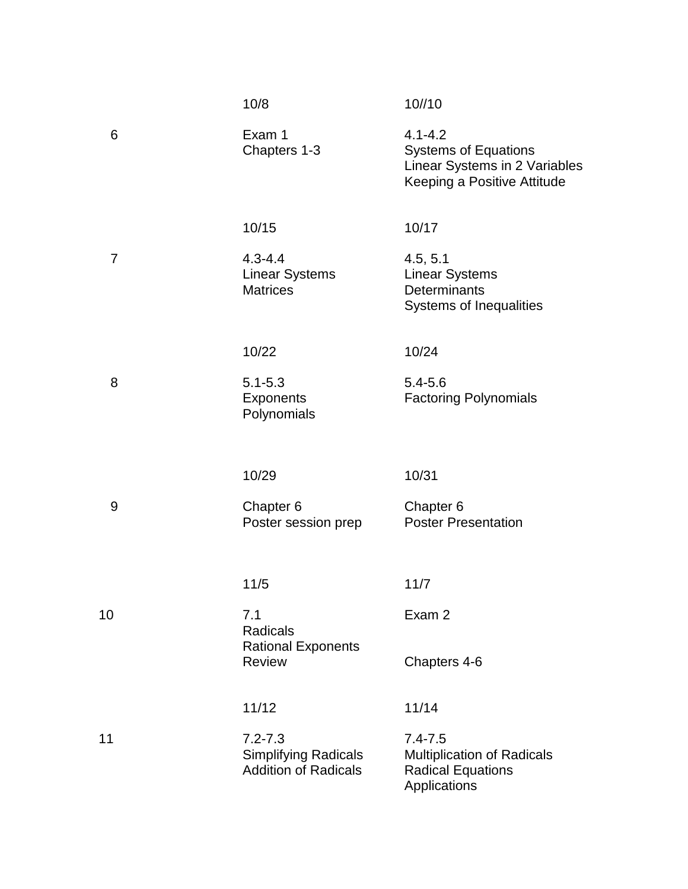|                | 10/8                                                                      | 10//10                                                                                                     |
|----------------|---------------------------------------------------------------------------|------------------------------------------------------------------------------------------------------------|
| 6              | Exam 1<br>Chapters 1-3                                                    | $4.1 - 4.2$<br><b>Systems of Equations</b><br>Linear Systems in 2 Variables<br>Keeping a Positive Attitude |
|                | 10/15                                                                     | 10/17                                                                                                      |
| $\overline{7}$ | $4.3 - 4.4$<br><b>Linear Systems</b><br><b>Matrices</b>                   | 4.5, 5.1<br><b>Linear Systems</b><br>Determinants<br><b>Systems of Inequalities</b>                        |
|                | 10/22                                                                     | 10/24                                                                                                      |
| 8              | $5.1 - 5.3$<br>Exponents<br>Polynomials                                   | $5.4 - 5.6$<br><b>Factoring Polynomials</b>                                                                |
|                | 10/29                                                                     | 10/31                                                                                                      |
| 9              | Chapter 6<br>Poster session prep                                          | Chapter 6<br><b>Poster Presentation</b>                                                                    |
|                | 11/5                                                                      | 11/7                                                                                                       |
| 10             | 7.1<br><b>Radicals</b>                                                    | Exam 2                                                                                                     |
|                | <b>Rational Exponents</b><br><b>Review</b>                                | Chapters 4-6                                                                                               |
|                | 11/12                                                                     | 11/14                                                                                                      |
| 11             | $7.2 - 7.3$<br><b>Simplifying Radicals</b><br><b>Addition of Radicals</b> | $7.4 - 7.5$<br><b>Multiplication of Radicals</b><br><b>Radical Equations</b><br>Applications               |